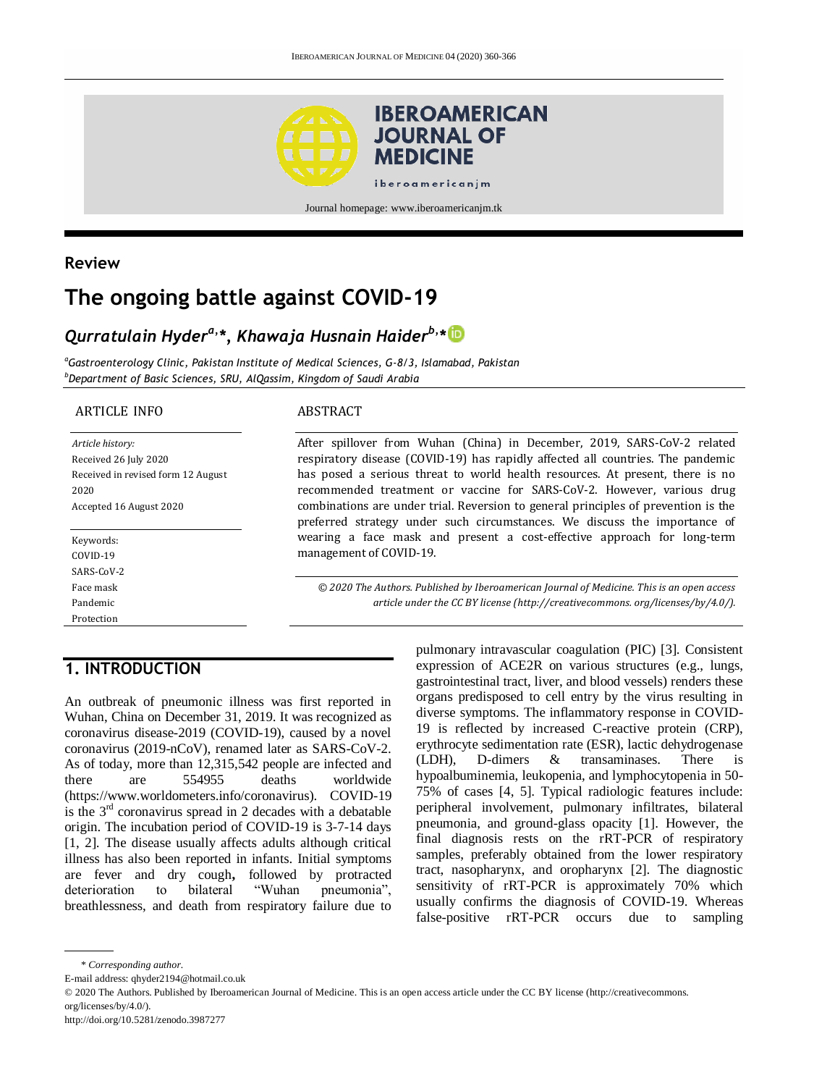

Journal homepage: www.iberoamericanjm.tk

## **Review**

# **The ongoing battle against COVID-19**

## *Qurratulain Hydera,\*, Khawaja Husnain Haiderb,\**

*<sup>a</sup>Gastroenterology Clinic, Pakistan Institute of Medical Sciences, G-8/3, Islamabad, Pakistan <sup>b</sup>Department of Basic Sciences, SRU, AlQassim, Kingdom of Saudi Arabia*

#### ARTICLE INFO

*Article history:* Received 26 July 2020 Received in revised form 12 August 2020 Accepted 16 August 2020

Keywords: COVID-19 SARS-CoV-2 Face mask Pandemic Protection

#### ABSTRACT

After spillover from Wuhan (China) in December, 2019, SARS-CoV-2 related respiratory disease (COVID-19) has rapidly affected all countries. The pandemic has posed a serious threat to world health resources. At present, there is no recommended treatment or vaccine for SARS-CoV-2. However, various drug combinations are under trial. Reversion to general principles of prevention is the preferred strategy under such circumstances. We discuss the importance of wearing a face mask and present a cost-effective approach for long-term management of COVID-19.

*© 2020 The Authors. Published by Iberoamerican Journal of Medicine. This is an open access article under the CC BY license (http:/[/creativecommons. org/licenses/by/4.0/\)](https://creativecommons.org/licenses/by/4.0/).*

## **1. INTRODUCTION**

An outbreak of pneumonic illness was first reported in Wuhan, China on December 31, 2019. It was recognized as coronavirus disease-2019 (COVID-19), caused by a novel coronavirus (2019-nCoV), renamed later as SARS-CoV-2. As of today, more than 12,315,542 people are infected and<br>there are 554955 deaths worldwide there are 554955 deaths worldwide [\(https://www.worldometers.info/c](https://www.worldometers.info/)oronavirus). COVID-19 is the  $3<sup>rd</sup>$  coronavirus spread in 2 decades with a debatable origin. The incubation period of COVID-19 is 3-7-14 days [1, 2]. The disease usually affects adults although critical illness has also been reported in infants. Initial symptoms are fever and dry cough**,** followed by protracted deterioration to bilateral "Wuhan pneumonia", breathlessness, and death from respiratory failure due to

pulmonary intravascular coagulation (PIC) [3]. Consistent expression of ACE2R on various structures (e.g., lungs, gastrointestinal tract, liver, and blood vessels) renders these organs predisposed to cell entry by the virus resulting in diverse symptoms. The inflammatory response in COVID-19 is reflected by increased C-reactive protein (CRP), erythrocyte sedimentation rate (ESR), lactic dehydrogenase (LDH), D-dimers & transaminases. There is hypoalbuminemia, leukopenia, and lymphocytopenia in 50- 75% of cases [4, 5]. Typical radiologic features include: peripheral involvement, pulmonary infiltrates, bilateral pneumonia, and ground-glass opacity [1]. However, the final diagnosis rests on the rRT-PCR of respiratory samples, preferably obtained from the lower respiratory tract, nasopharynx, and oropharynx [2]. The diagnostic sensitivity of rRT-PCR is approximately 70% which usually confirms the diagnosis of COVID-19. Whereas false-positive rRT-PCR occurs due to sampling

E-mail address: qhyder2194@hotmail.co.uk

© 2020 The Authors. Published by Iberoamerican Journal of Medicine. This is an open access article under the CC BY license (http://creativecommons. org/licenses/by/4.0/).

<sup>\*</sup> *Corresponding author.*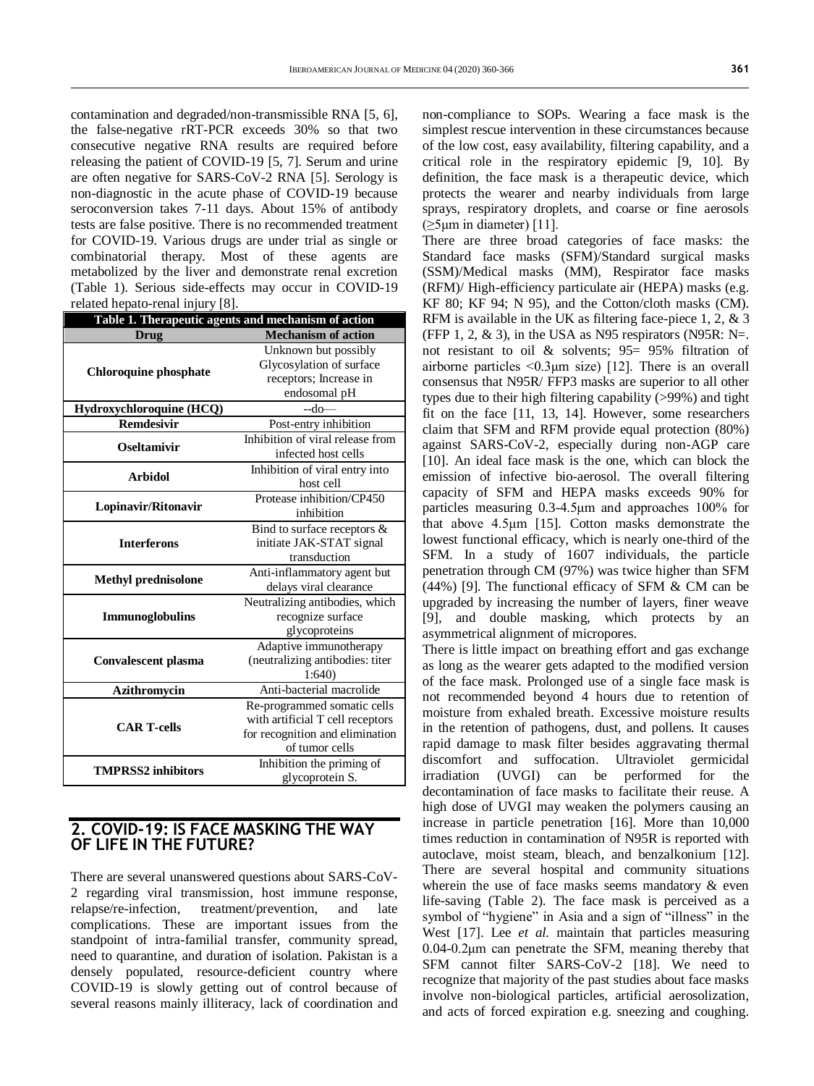contamination and degraded/non-transmissible RNA [5, 6], the false-negative rRT-PCR exceeds 30% so that two consecutive negative RNA results are required before releasing the patient of COVID-19 [5, 7]. Serum and urine are often negative for SARS-CoV-2 RNA [5]. Serology is non-diagnostic in the acute phase of COVID-19 because seroconversion takes 7-11 days. About 15% of antibody tests are false positive. There is no recommended treatment for COVID-19. Various drugs are under trial as single or combinatorial therapy. Most of these agents are metabolized by the liver and demonstrate renal excretion (Table 1). Serious side-effects may occur in COVID-19 related hepato-renal injury [8].

| Table 1. Therapeutic agents and mechanism of action |                                  |
|-----------------------------------------------------|----------------------------------|
| Drug                                                | <b>Mechanism of action</b>       |
| <b>Chloroquine phosphate</b>                        | Unknown but possibly             |
|                                                     | Glycosylation of surface         |
|                                                     | receptors; Increase in           |
|                                                     | endosomal pH                     |
| Hydroxychloroquine (HCQ)                            | $-do-$                           |
| <b>Remdesivir</b>                                   | Post-entry inhibition            |
| Oseltamivir                                         | Inhibition of viral release from |
|                                                     | infected host cells              |
| <b>Arbidol</b>                                      | Inhibition of viral entry into   |
|                                                     | host cell                        |
| Lopinavir/Ritonavir                                 | Protease inhibition/CP450        |
|                                                     | inhibition                       |
| <b>Interferons</b>                                  | Bind to surface receptors $\&$   |
|                                                     | initiate JAK-STAT signal         |
|                                                     | transduction                     |
| <b>Methyl prednisolone</b>                          | Anti-inflammatory agent but      |
|                                                     | delays viral clearance           |
| <b>Immunoglobulins</b>                              | Neutralizing antibodies, which   |
|                                                     | recognize surface                |
|                                                     | glycoproteins                    |
| <b>Convalescent plasma</b>                          | Adaptive immunotherapy           |
|                                                     | (neutralizing antibodies: titer  |
|                                                     | 1:640                            |
| Azithromycin                                        | Anti-bacterial macrolide         |
|                                                     | Re-programmed somatic cells      |
| <b>CAR T-cells</b>                                  | with artificial T cell receptors |
|                                                     | for recognition and elimination  |
|                                                     | of tumor cells                   |
| <b>TMPRSS2</b> inhibitors                           | Inhibition the priming of        |
|                                                     | glycoprotein S.                  |

#### **2. COVID-19: IS FACE MASKING THE WAY OF LIFE IN THE FUTURE?**

There are several unanswered questions about SARS-CoV-2 regarding viral transmission, host immune response, relapse/re-infection, treatment/prevention, and late complications. These are important issues from the standpoint of intra-familial transfer, community spread, need to quarantine, and duration of isolation. Pakistan is a densely populated, resource-deficient country where COVID-19 is slowly getting out of control because of several reasons mainly illiteracy, lack of coordination and

non-compliance to SOPs. Wearing a face mask is the simplest rescue intervention in these circumstances because of the low cost, easy availability, filtering capability, and a critical role in the respiratory epidemic [9, 10]. By definition, the face mask is a therapeutic device, which protects the wearer and nearby individuals from large sprays, respiratory droplets, and coarse or fine aerosols  $(\geq 5 \mu m$  in diameter) [11].

There are three broad categories of face masks: the Standard face masks (SFM)/Standard surgical masks (SSM)/Medical masks (MM), Respirator face masks (RFM)/ High-efficiency particulate air (HEPA) masks (e.g. KF 80; KF 94; N 95), and the Cotton/cloth masks (CM). RFM is available in the UK as filtering face-piece 1, 2, & 3 (FFP 1, 2,  $\&$  3), in the USA as N95 respirators (N95R: N=. not resistant to oil & solvents; 95= 95% filtration of airborne particles <0.3μm size) [12]. There is an overall consensus that N95R/ FFP3 masks are superior to all other types due to their high filtering capability (>99%) and tight fit on the face [11, 13, 14]. However, some researchers claim that SFM and RFM provide equal protection (80%) against SARS-CoV-2, especially during non-AGP care [10]. An ideal face mask is the one, which can block the emission of infective bio-aerosol. The overall filtering capacity of SFM and HEPA masks exceeds 90% for particles measuring 0.3-4.5μm and approaches 100% for that above 4.5μm [15]. Cotton masks demonstrate the lowest functional efficacy, which is nearly one-third of the SFM. In a study of 1607 individuals, the particle penetration through CM (97%) was twice higher than SFM (44%) [9]. The functional efficacy of SFM & CM can be upgraded by increasing the number of layers, finer weave [9], and double masking, which protects by an asymmetrical alignment of micropores.

There is little impact on breathing effort and gas exchange as long as the wearer gets adapted to the modified version of the face mask. Prolonged use of a single face mask is not recommended beyond 4 hours due to retention of moisture from exhaled breath. Excessive moisture results in the retention of pathogens, dust, and pollens. It causes rapid damage to mask filter besides aggravating thermal discomfort and suffocation. Ultraviolet germicidal irradiation (UVGI) can be performed for the decontamination of face masks to facilitate their reuse. A high dose of UVGI may weaken the polymers causing an increase in particle penetration [16]. More than 10,000 times reduction in contamination of N95R is reported with autoclave, moist steam, bleach, and benzalkonium [12]. There are several hospital and community situations wherein the use of face masks seems mandatory  $\&$  even life-saving (Table 2). The face mask is perceived as a symbol of "hygiene" in Asia and a sign of "illness" in the West [17]. Lee *et al.* maintain that particles measuring 0.04-0.2μm can penetrate the SFM, meaning thereby that SFM cannot filter SARS-CoV-2 [18]. We need to recognize that majority of the past studies about face masks involve non-biological particles, artificial aerosolization, and acts of forced expiration e.g. sneezing and coughing.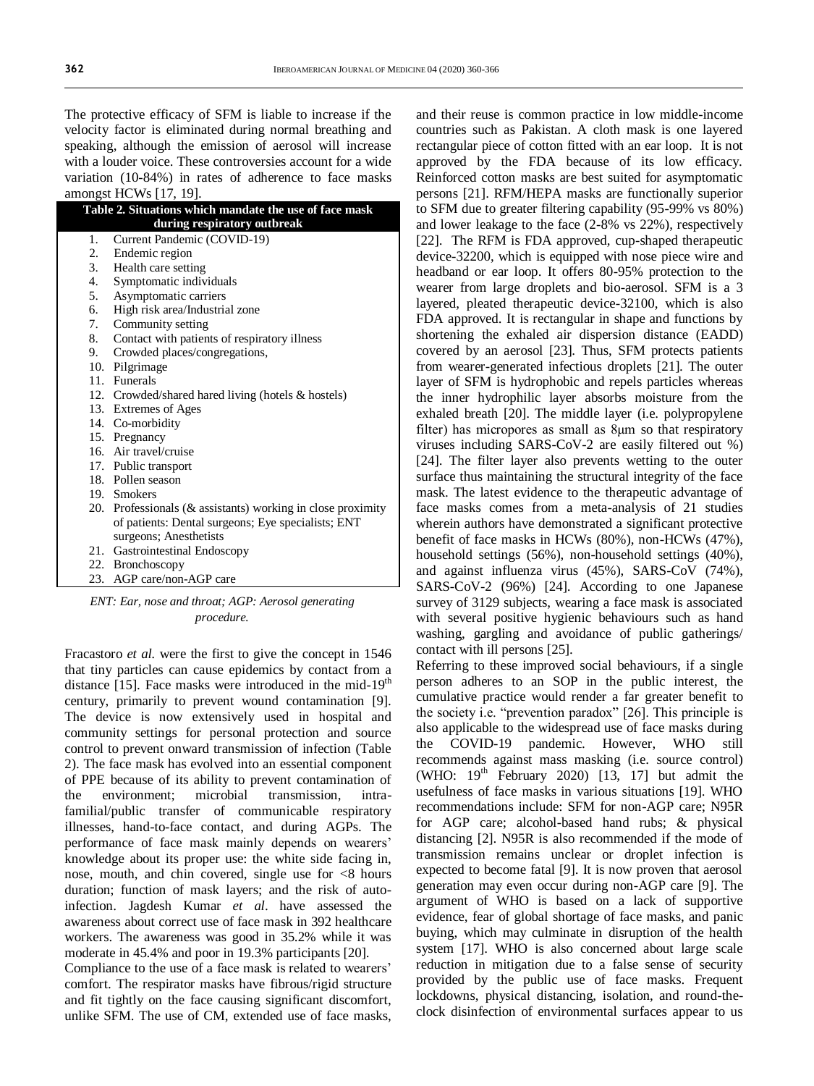The protective efficacy of SFM is liable to increase if the velocity factor is eliminated during normal breathing and speaking, although the emission of aerosol will increase with a louder voice. These controversies account for a wide variation (10-84%) in rates of adherence to face masks amongst  $HCW_0$  [17, 10].

|                                                        | amongst 11C WS [17, 17].                                    |  |
|--------------------------------------------------------|-------------------------------------------------------------|--|
| Table 2. Situations which mandate the use of face mask |                                                             |  |
|                                                        | during respiratory outbreak                                 |  |
| 1.                                                     | Current Pandemic (COVID-19)                                 |  |
| 2.                                                     | Endemic region                                              |  |
|                                                        | 3. Health care setting                                      |  |
| 4.                                                     | Symptomatic individuals                                     |  |
| 5.                                                     | Asymptomatic carriers                                       |  |
| 6.                                                     | High risk area/Industrial zone                              |  |
| 7.                                                     | Community setting                                           |  |
| 8.                                                     | Contact with patients of respiratory illness                |  |
|                                                        | 9. Crowded places/congregations,                            |  |
|                                                        | 10. Pilgrimage                                              |  |
|                                                        | 11. Funerals                                                |  |
|                                                        | 12. Crowded/shared hared living (hotels & hostels)          |  |
|                                                        | 13. Extremes of Ages                                        |  |
|                                                        | 14. Co-morbidity                                            |  |
|                                                        | 15. Pregnancy                                               |  |
|                                                        | 16. Air travel/cruise                                       |  |
|                                                        | 17. Public transport                                        |  |
|                                                        | 18. Pollen season                                           |  |
|                                                        | 19. Smokers                                                 |  |
|                                                        | 20. Professionals (& assistants) working in close proximity |  |
|                                                        | of patients: Dental surgeons; Eye specialists; ENT          |  |
|                                                        | surgeons; Anesthetists                                      |  |
|                                                        | 21. Gastrointestinal Endoscopy                              |  |
|                                                        | 22. Bronchoscopy                                            |  |
|                                                        | 23. AGP care/non-AGP care                                   |  |

*ENT: Ear, nose and throat; AGP: Aerosol generating procedure.* 

Fracastoro *et al.* were the first to give the concept in 1546 that tiny particles can cause epidemics by contact from a distance [15]. Face masks were introduced in the mid-19<sup>th</sup> century, primarily to prevent wound contamination [9]. The device is now extensively used in hospital and community settings for personal protection and source control to prevent onward transmission of infection (Table 2). The face mask has evolved into an essential component of PPE because of its ability to prevent contamination of the environment; microbial transmission, intrafamilial/public transfer of communicable respiratory illnesses, hand-to-face contact, and during AGPs. The performance of face mask mainly depends on wearers' knowledge about its proper use: the white side facing in, nose, mouth, and chin covered, single use for <8 hours duration; function of mask layers; and the risk of autoinfection. Jagdesh Kumar *et al*. have assessed the awareness about correct use of face mask in 392 healthcare workers. The awareness was good in 35.2% while it was moderate in 45.4% and poor in 19.3% participants [20].

Compliance to the use of a face mask is related to wearers' comfort. The respirator masks have fibrous/rigid structure and fit tightly on the face causing significant discomfort, unlike SFM. The use of CM, extended use of face masks, and their reuse is common practice in low middle-income countries such as Pakistan. A cloth mask is one layered rectangular piece of cotton fitted with an ear loop. It is not approved by the FDA because of its low efficacy. Reinforced cotton masks are best suited for asymptomatic persons [21]. RFM/HEPA masks are functionally superior to SFM due to greater filtering capability (95-99% vs 80%) and lower leakage to the face (2-8% vs 22%), respectively [22]. The RFM is FDA approved, cup-shaped therapeutic device-32200, which is equipped with nose piece wire and headband or ear loop. It offers 80-95% protection to the wearer from large droplets and bio-aerosol. SFM is a 3 layered, pleated therapeutic device-32100, which is also FDA approved. It is rectangular in shape and functions by shortening the exhaled air dispersion distance (EADD) covered by an aerosol [23]. Thus, SFM protects patients from wearer-generated infectious droplets [21]. The outer layer of SFM is hydrophobic and repels particles whereas the inner hydrophilic layer absorbs moisture from the exhaled breath [20]. The middle layer (i.e. polypropylene filter) has micropores as small as 8μm so that respiratory viruses including SARS-CoV-2 are easily filtered out %) [24]. The filter layer also prevents wetting to the outer surface thus maintaining the structural integrity of the face mask. The latest evidence to the therapeutic advantage of face masks comes from a meta-analysis of 21 studies wherein authors have demonstrated a significant protective benefit of face masks in HCWs (80%), non-HCWs (47%), household settings (56%), non-household settings (40%), and against influenza virus (45%), SARS-CoV (74%), SARS-CoV-2 (96%) [24]. According to one Japanese survey of 3129 subjects, wearing a face mask is associated with several positive hygienic behaviours such as hand washing, gargling and avoidance of public gatherings/ contact with ill persons [25].

Referring to these improved social behaviours, if a single person adheres to an SOP in the public interest, the cumulative practice would render a far greater benefit to the society i.e. "prevention paradox" [26]. This principle is also applicable to the widespread use of face masks during the COVID-19 pandemic. However, WHO still recommends against mass masking (i.e. source control) (WHO:  $19<sup>th</sup>$  February 2020)  $[13, 17]$  but admit the usefulness of face masks in various situations [19]. WHO recommendations include: SFM for non-AGP care; N95R for AGP care; alcohol-based hand rubs; & physical distancing [2]. N95R is also recommended if the mode of transmission remains unclear or droplet infection is expected to become fatal [9]. It is now proven that aerosol generation may even occur during non-AGP care [9]. The argument of WHO is based on a lack of supportive evidence, fear of global shortage of face masks, and panic buying, which may culminate in disruption of the health system [17]. WHO is also concerned about large scale reduction in mitigation due to a false sense of security provided by the public use of face masks. Frequent lockdowns, physical distancing, isolation, and round-theclock disinfection of environmental surfaces appear to us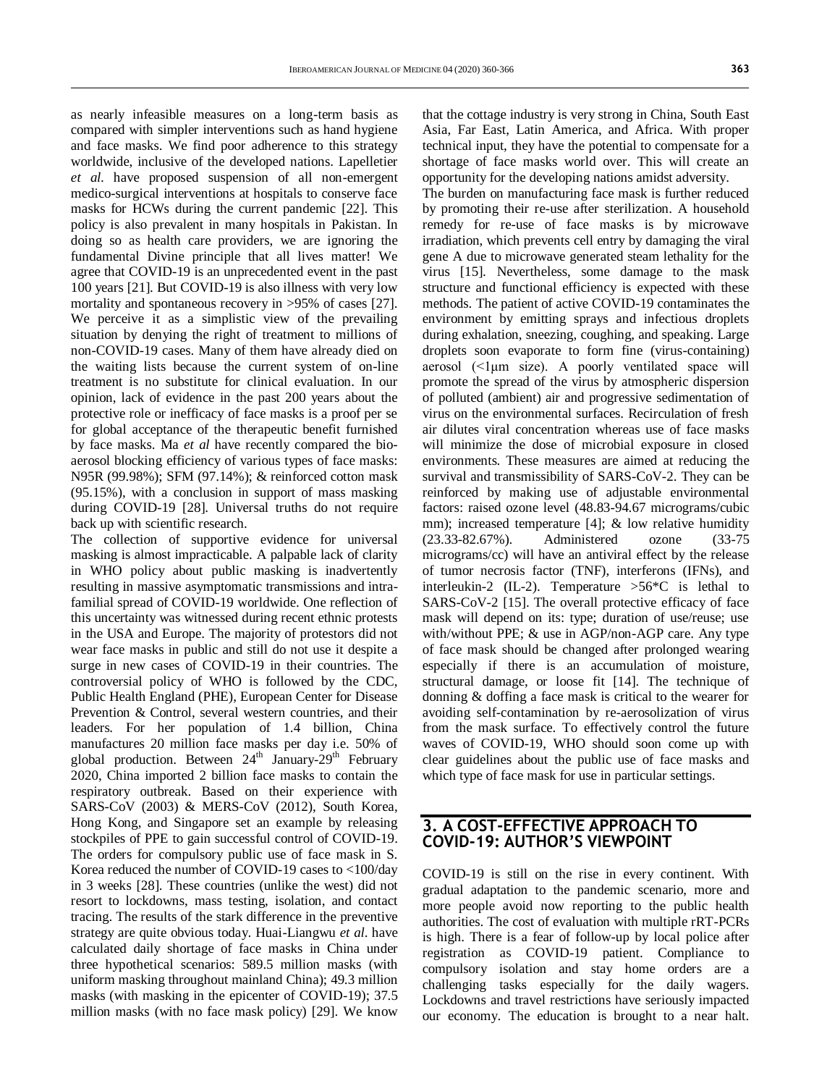as nearly infeasible measures on a long-term basis as compared with simpler interventions such as hand hygiene and face masks. We find poor adherence to this strategy worldwide, inclusive of the developed nations. Lapelletier *et al.* have proposed suspension of all non-emergent medico-surgical interventions at hospitals to conserve face masks for HCWs during the current pandemic [22]. This policy is also prevalent in many hospitals in Pakistan. In doing so as health care providers, we are ignoring the fundamental Divine principle that all lives matter! We agree that COVID-19 is an unprecedented event in the past 100 years [21]. But COVID-19 is also illness with very low mortality and spontaneous recovery in  $>95\%$  of cases [27]. We perceive it as a simplistic view of the prevailing situation by denying the right of treatment to millions of non-COVID-19 cases. Many of them have already died on the waiting lists because the current system of on-line treatment is no substitute for clinical evaluation. In our opinion, lack of evidence in the past 200 years about the protective role or inefficacy of face masks is a proof per se for global acceptance of the therapeutic benefit furnished by face masks. Ma *et al* have recently compared the bioaerosol blocking efficiency of various types of face masks: N95R (99.98%); SFM (97.14%); & reinforced cotton mask (95.15%), with a conclusion in support of mass masking during COVID-19 [28]. Universal truths do not require back up with scientific research.

The collection of supportive evidence for universal masking is almost impracticable. A palpable lack of clarity in WHO policy about public masking is inadvertently resulting in massive asymptomatic transmissions and intrafamilial spread of COVID-19 worldwide. One reflection of this uncertainty was witnessed during recent ethnic protests in the USA and Europe. The majority of protestors did not wear face masks in public and still do not use it despite a surge in new cases of COVID-19 in their countries. The controversial policy of WHO is followed by the CDC, Public Health England (PHE), European Center for Disease Prevention & Control, several western countries, and their leaders. For her population of 1.4 billion, China manufactures 20 million face masks per day i.e. 50% of global production. Between 24<sup>th</sup> January-29<sup>th</sup> February 2020, China imported 2 billion face masks to contain the respiratory outbreak. Based on their experience with SARS-CoV (2003) & MERS-CoV (2012), South Korea, Hong Kong, and Singapore set an example by releasing stockpiles of PPE to gain successful control of COVID-19. The orders for compulsory public use of face mask in S. Korea reduced the number of COVID-19 cases to <100/day in 3 weeks [28]. These countries (unlike the west) did not resort to lockdowns, mass testing, isolation, and contact tracing. The results of the stark difference in the preventive strategy are quite obvious today. Huai-Liangwu *et al*. have calculated daily shortage of face masks in China under three hypothetical scenarios: 589.5 million masks (with uniform masking throughout mainland China); 49.3 million masks (with masking in the epicenter of COVID-19); 37.5 million masks (with no face mask policy) [29]. We know

that the cottage industry is very strong in China, South East Asia, Far East, Latin America, and Africa. With proper technical input, they have the potential to compensate for a shortage of face masks world over. This will create an opportunity for the developing nations amidst adversity.

The burden on manufacturing face mask is further reduced by promoting their re-use after sterilization. A household remedy for re-use of face masks is by microwave irradiation, which prevents cell entry by damaging the viral gene A due to microwave generated steam lethality for the virus [15]. Nevertheless, some damage to the mask structure and functional efficiency is expected with these methods. The patient of active COVID-19 contaminates the environment by emitting sprays and infectious droplets during exhalation, sneezing, coughing, and speaking. Large droplets soon evaporate to form fine (virus-containing) aerosol  $(\leq l \mu m)$  size). A poorly ventilated space will promote the spread of the virus by atmospheric dispersion of polluted (ambient) air and progressive sedimentation of virus on the environmental surfaces. Recirculation of fresh air dilutes viral concentration whereas use of face masks will minimize the dose of microbial exposure in closed environments. These measures are aimed at reducing the survival and transmissibility of SARS-CoV-2. They can be reinforced by making use of adjustable environmental factors: raised ozone level (48.83-94.67 micrograms/cubic mm); increased temperature [4]; & low relative humidity (23.33-82.67%). Administered ozone (33-75 micrograms/cc) will have an antiviral effect by the release of tumor necrosis factor (TNF), interferons (IFNs), and interleukin-2 (IL-2). Temperature  $>56$ <sup>\*</sup>C is lethal to SARS-CoV-2 [15]. The overall protective efficacy of face mask will depend on its: type; duration of use/reuse; use with/without PPE; & use in AGP/non-AGP care. Any type of face mask should be changed after prolonged wearing especially if there is an accumulation of moisture, structural damage, or loose fit [14]. The technique of donning & doffing a face mask is critical to the wearer for avoiding self-contamination by re-aerosolization of virus from the mask surface. To effectively control the future waves of COVID-19, WHO should soon come up with clear guidelines about the public use of face masks and which type of face mask for use in particular settings.

#### **3. A COST-EFFECTIVE APPROACH TO COVID-19: AUTHOR'S VIEWPOINT**

COVID-19 is still on the rise in every continent. With gradual adaptation to the pandemic scenario, more and more people avoid now reporting to the public health authorities. The cost of evaluation with multiple rRT-PCRs is high. There is a fear of follow-up by local police after registration as COVID-19 patient. Compliance to compulsory isolation and stay home orders are a challenging tasks especially for the daily wagers. Lockdowns and travel restrictions have seriously impacted our economy. The education is brought to a near halt.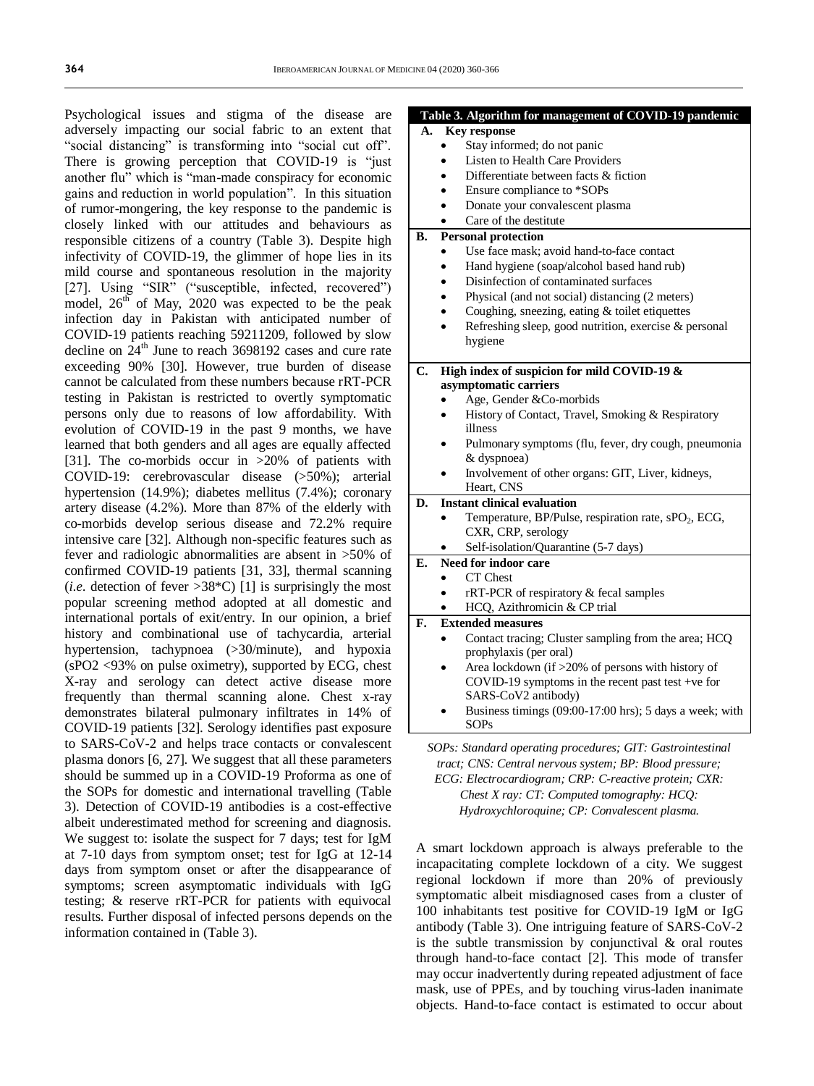Psychological issues and stigma of the disease are adversely impacting our social fabric to an extent that "social distancing" is transforming into "social cut off". There is growing perception that COVID-19 is "just another flu" which is "man-made conspiracy for economic gains and reduction in world population". In this situation of rumor-mongering, the key response to the pandemic is closely linked with our attitudes and behaviours as responsible citizens of a country (Table 3). Despite high infectivity of COVID-19, the glimmer of hope lies in its mild course and spontaneous resolution in the majority [27]. Using "SIR" ("susceptible, infected, recovered") model,  $26<sup>th</sup>$  of May, 2020 was expected to be the peak infection day in Pakistan with anticipated number of COVID-19 patients reaching 59211209, followed by slow decline on  $24<sup>th</sup>$  June to reach 3698192 cases and cure rate exceeding 90% [30]. However, true burden of disease cannot be calculated from these numbers because rRT-PCR testing in Pakistan is restricted to overtly symptomatic persons only due to reasons of low affordability. With evolution of COVID-19 in the past 9 months, we have learned that both genders and all ages are equally affected [31]. The co-morbids occur in >20% of patients with COVID-19: cerebrovascular disease (>50%); arterial hypertension (14.9%); diabetes mellitus (7.4%); coronary artery disease (4.2%). More than 87% of the elderly with co-morbids develop serious disease and 72.2% require intensive care [32]. Although non-specific features such as fever and radiologic abnormalities are absent in >50% of confirmed COVID-19 patients [31, 33], thermal scanning (*i.e.* detection of fever  $>38$ <sup>\*</sup>C) [1] is surprisingly the most popular screening method adopted at all domestic and international portals of exit/entry. In our opinion, a brief history and combinational use of tachycardia, arterial hypertension, tachypnoea (>30/minute), and hypoxia (sPO2 <93% on pulse oximetry), supported by ECG, chest X-ray and serology can detect active disease more frequently than thermal scanning alone. Chest x-ray demonstrates bilateral pulmonary infiltrates in 14% of COVID-19 patients [32]. Serology identifies past exposure to SARS-CoV-2 and helps trace contacts or convalescent plasma donors [6, 27]. We suggest that all these parameters should be summed up in a COVID-19 Proforma as one of the SOPs for domestic and international travelling (Table 3). Detection of COVID-19 antibodies is a cost-effective albeit underestimated method for screening and diagnosis. We suggest to: isolate the suspect for 7 days; test for IgM at 7-10 days from symptom onset; test for IgG at 12-14 days from symptom onset or after the disappearance of symptoms; screen asymptomatic individuals with IgG testing; & reserve rRT-PCR for patients with equivocal results. Further disposal of infected persons depends on the information contained in (Table 3).

|    | Table 3. Algorithm for management of COVID-19 pandemic                   |
|----|--------------------------------------------------------------------------|
| А. | <b>Key response</b>                                                      |
|    | Stay informed; do not panic                                              |
|    | Listen to Health Care Providers                                          |
|    | Differentiate between facts & fiction                                    |
|    | Ensure compliance to *SOPs                                               |
|    | Donate your convalescent plasma<br>$\bullet$                             |
|    | Care of the destitute<br>$\bullet$                                       |
| В. | <b>Personal protection</b>                                               |
|    | Use face mask; avoid hand-to-face contact                                |
|    | Hand hygiene (soap/alcohol based hand rub)                               |
|    | Disinfection of contaminated surfaces<br>$\bullet$                       |
|    | Physical (and not social) distancing (2 meters)<br>$\bullet$             |
|    | Coughing, sneezing, eating & toilet etiquettes                           |
|    | Refreshing sleep, good nutrition, exercise & personal<br>$\bullet$       |
|    | hygiene                                                                  |
|    |                                                                          |
| C. | High index of suspicion for mild COVID-19 &                              |
|    | asymptomatic carriers                                                    |
|    | Age, Gender &Co-morbids                                                  |
|    | History of Contact, Travel, Smoking & Respiratory<br>$\bullet$           |
|    | illness                                                                  |
|    | Pulmonary symptoms (flu, fever, dry cough, pneumonia                     |
|    | & dyspnoea)                                                              |
|    | Involvement of other organs: GIT, Liver, kidneys,                        |
|    | Heart, CNS                                                               |
| D. | <b>Instant clinical evaluation</b>                                       |
|    | Temperature, BP/Pulse, respiration rate, sPO <sub>2</sub> , ECG,         |
|    | CXR, CRP, serology                                                       |
|    | Self-isolation/Quarantine (5-7 days)                                     |
| Е. | Need for indoor care                                                     |
|    | CT Chest                                                                 |
|    | rRT-PCR of respiratory $&$ fecal samples                                 |
|    | HCQ, Azithromicin & CP trial                                             |
| F. | <b>Extended measures</b>                                                 |
|    | Contact tracing; Cluster sampling from the area; HCQ                     |
|    | prophylaxis (per oral)                                                   |
|    | Area lockdown (if >20% of persons with history of                        |
|    | COVID-19 symptoms in the recent past test +ve for<br>SARS-CoV2 antibody) |
|    | Business timings (09:00-17:00 hrs); 5 days a week; with                  |
|    | <b>SOPs</b>                                                              |
|    | COD <sub>8</sub> , Standard operating procedures: CIT, Castrointesting   |

*SOPs: Standard operating procedures; GIT: Gastrointestinal tract; CNS: Central nervous system; BP: Blood pressure;* 

*ECG: Electrocardiogram; CRP: C-reactive protein; CXR: Chest X ray: CT: Computed tomography: HCQ: Hydroxychloroquine; CP: Convalescent plasma.*

A smart lockdown approach is always preferable to the incapacitating complete lockdown of a city. We suggest regional lockdown if more than 20% of previously symptomatic albeit misdiagnosed cases from a cluster of 100 inhabitants test positive for COVID-19 IgM or IgG antibody (Table 3). One intriguing feature of SARS-CoV-2 is the subtle transmission by conjunctival  $\&$  oral routes through hand-to-face contact [2]. This mode of transfer may occur inadvertently during repeated adjustment of face mask, use of PPEs, and by touching virus-laden inanimate objects. Hand-to-face contact is estimated to occur about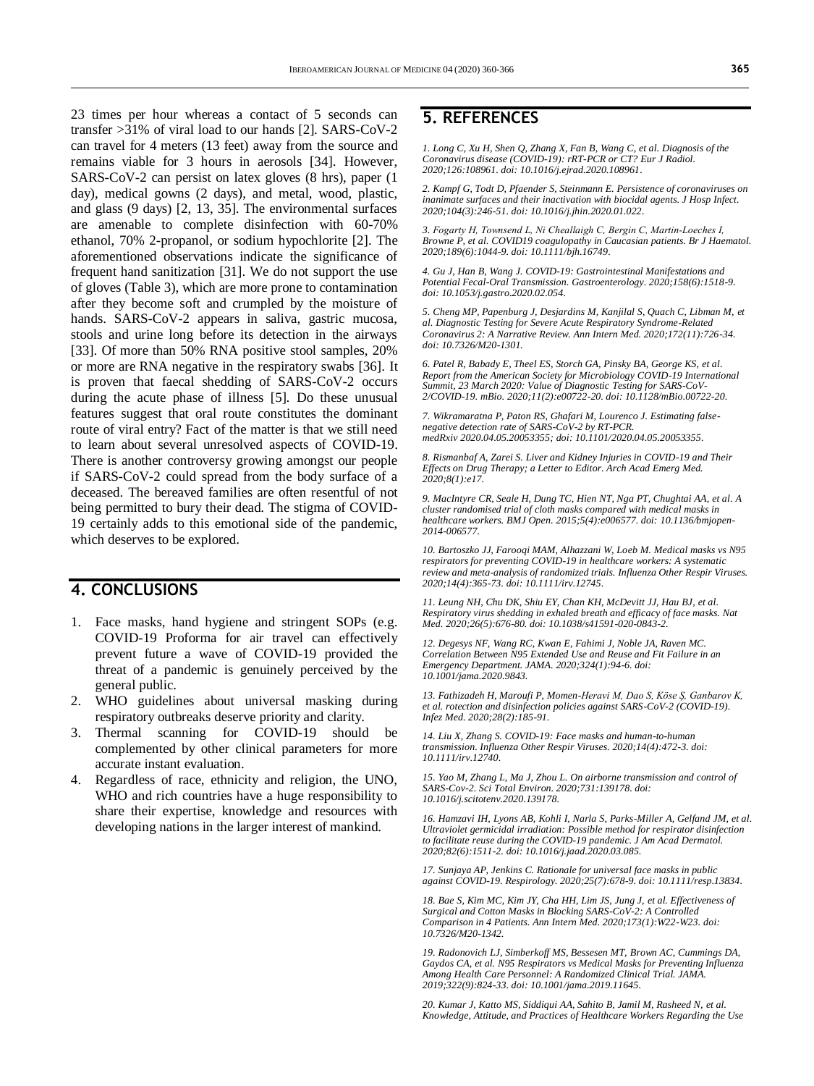23 times per hour whereas a contact of 5 seconds can transfer >31% of viral load to our hands [2]. SARS-CoV-2 can travel for 4 meters (13 feet) away from the source and remains viable for 3 hours in aerosols [34]. However, SARS-CoV-2 can persist on latex gloves (8 hrs), paper (1 day), medical gowns (2 days), and metal, wood, plastic, and glass (9 days) [2, 13, 35]. The environmental surfaces are amenable to complete disinfection with 60-70% ethanol, 70% 2-propanol, or sodium hypochlorite [2]. The aforementioned observations indicate the significance of frequent hand sanitization [31]. We do not support the use of gloves (Table 3), which are more prone to contamination after they become soft and crumpled by the moisture of hands. SARS-CoV-2 appears in saliva, gastric mucosa, stools and urine long before its detection in the airways [33]. Of more than 50% RNA positive stool samples, 20% or more are RNA negative in the respiratory swabs [36]. It is proven that faecal shedding of SARS-CoV-2 occurs during the acute phase of illness [5]. Do these unusual features suggest that oral route constitutes the dominant route of viral entry? Fact of the matter is that we still need to learn about several unresolved aspects of COVID-19. There is another controversy growing amongst our people if SARS-CoV-2 could spread from the body surface of a deceased. The bereaved families are often resentful of not being permitted to bury their dead. The stigma of COVID-19 certainly adds to this emotional side of the pandemic, which deserves to be explored.

### **4. CONCLUSIONS**

- 1. Face masks, hand hygiene and stringent SOPs (e.g. COVID-19 Proforma for air travel can effectively prevent future a wave of COVID-19 provided the threat of a pandemic is genuinely perceived by the general public.
- 2. WHO guidelines about universal masking during respiratory outbreaks deserve priority and clarity.
- 3. Thermal scanning for COVID-19 should be complemented by other clinical parameters for more accurate instant evaluation.
- 4. Regardless of race, ethnicity and religion, the UNO, WHO and rich countries have a huge responsibility to share their expertise, knowledge and resources with developing nations in the larger interest of mankind.

## **5. REFERENCES**

*1. Long C, Xu H, Shen Q, Zhang X, Fan B, Wang C, et al. Diagnosis of the Coronavirus disease (COVID-19): rRT-PCR or CT? Eur J Radiol. 2020;126:108961. doi[: 10.1016/j.ejrad.2020.108961.](https://doi.org/10.1016/j.ejrad.2020.108961)*

*2. Kampf G, Todt D, Pfaender S, Steinmann E. Persistence of coronaviruses on inanimate surfaces and their inactivation with biocidal agents. J Hosp Infect. 2020;104(3):246-51. doi[: 10.1016/j.jhin.2020.01.022.](https://doi.org/10.1016/j.jhin.2020.01.022)*

*3. Fogarty H, Townsend L, Ni Cheallaigh C, Bergin C, Martin‐Loeches I, Browne P, et al. COVID19 coagulopathy in Caucasian patients. Br J Haematol. 2020;189(6):1044-9. doi[: 10.1111/bjh.16749.](https://doi.org/10.1111/bjh.16749)*

*4. Gu J, Han B, Wang J. COVID-19: Gastrointestinal Manifestations and Potential Fecal-Oral Transmission. Gastroenterology. 2020;158(6):1518-9. doi[: 10.1053/j.gastro.2020.02.054.](https://doi.org/10.1053/j.gastro.2020.02.054)* 

*5. Cheng MP, Papenburg J, Desjardins M, Kanjilal S, Quach C, Libman M, et al. Diagnostic Testing for Severe Acute Respiratory Syndrome-Related Coronavirus 2: A Narrative Review. Ann Intern Med. 2020;172(11):726-34. doi[: 10.7326/M20-1301.](https://doi.org/10.7326/m20-1301)* 

*6. Patel R, Babady E, Theel ES, Storch GA, Pinsky BA, George KS, et al. Report from the American Society for Microbiology COVID-19 International Summit, 23 March 2020: Value of Diagnostic Testing for SARS-CoV-2/COVID-19. mBio. 2020;11(2):e00722-20. doi[: 10.1128/mBio.00722-20.](https://doi.org/10.1128/mbio.00722-20)*

*7. Wikramaratna P, Paton RS, Ghafari M, Lourenco J. Estimating falsenegative detection rate of SARS-CoV-2 by RT-PCR. medRxiv 2020.04.05.20053355; doi: [10.1101/2020.04.05.20053355.](https://doi.org/10.1101/2020.04.05.20053355)*

*8. Rismanbaf A, Zarei S. Liver and Kidney Injuries in COVID-19 and Their Effects on Drug Therapy; a Letter to Editor. Arch Acad Emerg Med. 2020;8(1):e17.* 

*9. MacIntyre CR, Seale H, Dung TC, Hien NT, Nga PT, Chughtai AA, et al. A cluster randomised trial of cloth masks compared with medical masks in healthcare workers. BMJ Open. 2015;5(4):e006577. doi: [10.1136/bmjopen-](https://doi.org/10.1136/bmjopen-2014-006577)[2014-006577.](https://doi.org/10.1136/bmjopen-2014-006577)*

*10. Bartoszko JJ, Farooqi MAM, Alhazzani W, Loeb M. Medical masks vs N95 respirators for preventing COVID-19 in healthcare workers: A systematic review and meta-analysis of randomized trials. Influenza Other Respir Viruses. 2020;14(4):365-73. doi[: 10.1111/irv.12745.](https://doi.org/10.1111/irv.12745)* 

*11. Leung NH, Chu DK, Shiu EY, Chan KH, McDevitt JJ, Hau BJ, et al. Respiratory virus shedding in exhaled breath and efficacy of face masks. Nat Med. 2020;26(5):676-80. doi[: 10.1038/s41591-020-0843-2.](https://doi.org/10.1038/s41591-020-0843-2)*

*12. Degesys NF, Wang RC, Kwan E, Fahimi J, Noble JA, Raven MC. Correlation Between N95 Extended Use and Reuse and Fit Failure in an Emergency Department. JAMA. 2020;324(1):94-6. doi: [10.1001/jama.2020.9843.](https://doi.org/10.1001/jama.2020.9843)* 

*13. Fathizadeh H, Maroufi P, Momen-Heravi M, Dao S, Köse Ş, Ganbarov K, et al. rotection and disinfection policies against SARS-CoV-2 (COVID-19). Infez Med. 2020;28(2):185-91.*

*14. Liu X, Zhang S. COVID-19: Face masks and human-to-human transmission. Influenza Other Respir Viruses. 2020;14(4):472-3. doi: [10.1111/irv.12740.](https://doi.org/10.1111/irv.12740)* 

*15. Yao M, Zhang L, Ma J, Zhou L. On airborne transmission and control of SARS-Cov-2. Sci Total Environ. 2020;731:139178. doi: [10.1016/j.scitotenv.2020.139178.](https://doi.org/10.1016/j.scitotenv.2020.139178)*

*16. Hamzavi IH, Lyons AB, Kohli I, Narla S, Parks-Miller A, Gelfand JM, et al. Ultraviolet germicidal irradiation: Possible method for respirator disinfection to facilitate reuse during the COVID-19 pandemic. J Am Acad Dermatol. 2020;82(6):1511-2. doi[: 10.1016/j.jaad.2020.03.085.](https://doi.org/10.1016/j.jaad.2020.03.085)*

*17. Sunjaya AP, Jenkins C. Rationale for universal face masks in public against COVID-19. Respirology. 2020;25(7):678-9. doi[: 10.1111/resp.13834.](https://doi.org/10.1111/resp.13834)*

*18. Bae S, Kim MC, Kim JY, Cha HH, Lim JS, Jung J, et al. Effectiveness of Surgical and Cotton Masks in Blocking SARS-CoV-2: A Controlled Comparison in 4 Patients. Ann Intern Med. 2020;173(1):W22-W23. doi: [10.7326/M20-1342.](https://doi.org/10.7326/m20-1342)*

*19. Radonovich LJ, Simberkoff MS, Bessesen MT, Brown AC, Cummings DA, Gaydos CA, et al. N95 Respirators vs Medical Masks for Preventing Influenza Among Health Care Personnel: A Randomized Clinical Trial. JAMA. 2019;322(9):824-33. doi[: 10.1001/jama.2019.11645.](https://doi.org/10.1001/jama.2019.11645)*

*20. Kumar J, Katto MS, Siddiqui AA, Sahito B, Jamil M, Rasheed N, et al. Knowledge, Attitude, and Practices of Healthcare Workers Regarding the Use*